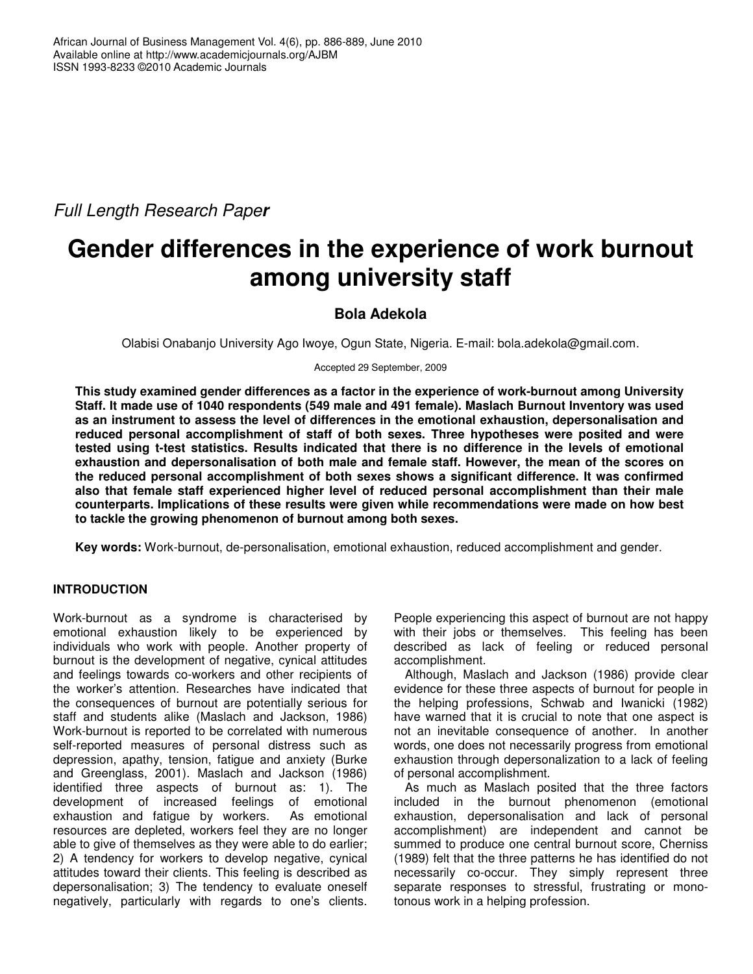*Full Length Research Paper*

# **Gender differences in the experience of work burnout among university staff**

# **Bola Adekola**

Olabisi Onabanjo University Ago Iwoye, Ogun State, Nigeria. E-mail: bola.adekola@gmail.com.

Accepted 29 September, 2009

**This study examined gender differences as a factor in the experience of work-burnout among University Staff. It made use of 1040 respondents (549 male and 491 female). Maslach Burnout Inventory was used as an instrument to assess the level of differences in the emotional exhaustion, depersonalisation and reduced personal accomplishment of staff of both sexes. Three hypotheses were posited and were tested using t-test statistics. Results indicated that there is no difference in the levels of emotional exhaustion and depersonalisation of both male and female staff. However, the mean of the scores on the reduced personal accomplishment of both sexes shows a significant difference. It was confirmed also that female staff experienced higher level of reduced personal accomplishment than their male counterparts. Implications of these results were given while recommendations were made on how best to tackle the growing phenomenon of burnout among both sexes.**

**Key words:** Work-burnout, de-personalisation, emotional exhaustion, reduced accomplishment and gender.

# **INTRODUCTION**

Work-burnout as a syndrome is characterised by emotional exhaustion likely to be experienced by individuals who work with people. Another property of burnout is the development of negative, cynical attitudes and feelings towards co-workers and other recipients of the worker's attention. Researches have indicated that the consequences of burnout are potentially serious for staff and students alike (Maslach and Jackson, 1986) Work-burnout is reported to be correlated with numerous self-reported measures of personal distress such as depression, apathy, tension, fatigue and anxiety (Burke and Greenglass, 2001). Maslach and Jackson (1986) identified three aspects of burnout as: 1). The development of increased feelings of emotional exhaustion and fatigue by workers. As emotional resources are depleted, workers feel they are no longer able to give of themselves as they were able to do earlier; 2) A tendency for workers to develop negative, cynical attitudes toward their clients. This feeling is described as depersonalisation; 3) The tendency to evaluate oneself negatively, particularly with regards to one's clients.

People experiencing this aspect of burnout are not happy with their jobs or themselves. This feeling has been described as lack of feeling or reduced personal accomplishment.

Although, Maslach and Jackson (1986) provide clear evidence for these three aspects of burnout for people in the helping professions, Schwab and Iwanicki (1982) have warned that it is crucial to note that one aspect is not an inevitable consequence of another. In another words, one does not necessarily progress from emotional exhaustion through depersonalization to a lack of feeling of personal accomplishment.

As much as Maslach posited that the three factors included in the burnout phenomenon (emotional exhaustion, depersonalisation and lack of personal accomplishment) are independent and cannot be summed to produce one central burnout score, Cherniss (1989) felt that the three patterns he has identified do not necessarily co-occur. They simply represent three separate responses to stressful, frustrating or monotonous work in a helping profession.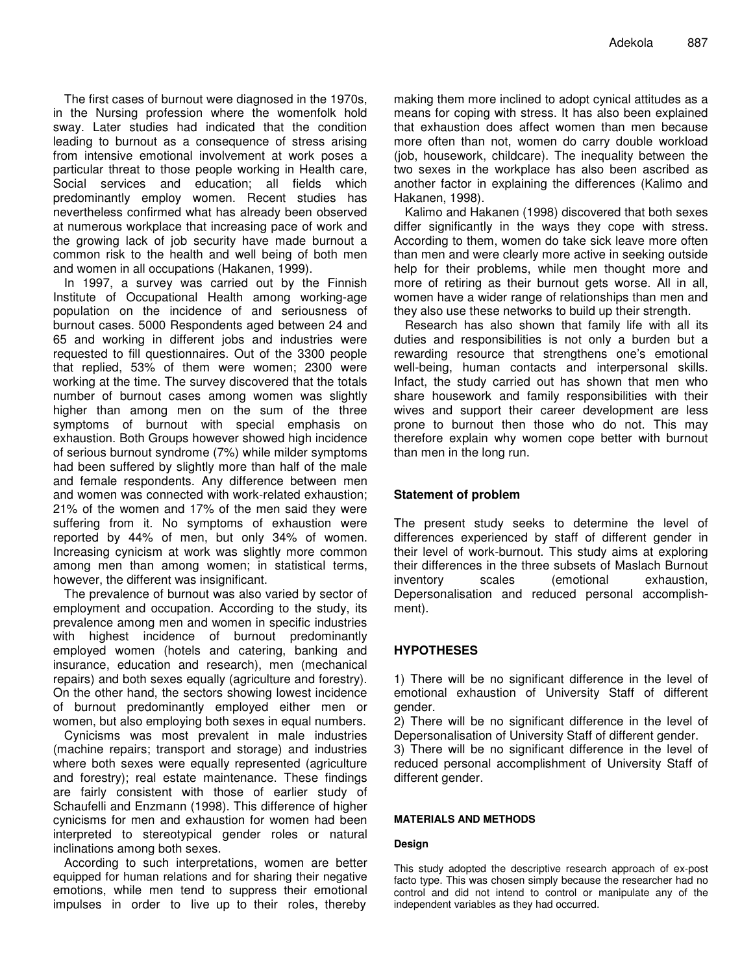The first cases of burnout were diagnosed in the 1970s, in the Nursing profession where the womenfolk hold sway. Later studies had indicated that the condition leading to burnout as a consequence of stress arising from intensive emotional involvement at work poses a particular threat to those people working in Health care, Social services and education; all fields which predominantly employ women. Recent studies has nevertheless confirmed what has already been observed at numerous workplace that increasing pace of work and the growing lack of job security have made burnout a common risk to the health and well being of both men and women in all occupations (Hakanen, 1999).

In 1997, a survey was carried out by the Finnish Institute of Occupational Health among working-age population on the incidence of and seriousness of burnout cases. 5000 Respondents aged between 24 and 65 and working in different jobs and industries were requested to fill questionnaires. Out of the 3300 people that replied, 53% of them were women; 2300 were working at the time. The survey discovered that the totals number of burnout cases among women was slightly higher than among men on the sum of the three symptoms of burnout with special emphasis on exhaustion. Both Groups however showed high incidence of serious burnout syndrome (7%) while milder symptoms had been suffered by slightly more than half of the male and female respondents. Any difference between men and women was connected with work-related exhaustion; 21% of the women and 17% of the men said they were suffering from it. No symptoms of exhaustion were reported by 44% of men, but only 34% of women. Increasing cynicism at work was slightly more common among men than among women; in statistical terms, however, the different was insignificant.

The prevalence of burnout was also varied by sector of employment and occupation. According to the study, its prevalence among men and women in specific industries with highest incidence of burnout predominantly employed women (hotels and catering, banking and insurance, education and research), men (mechanical repairs) and both sexes equally (agriculture and forestry). On the other hand, the sectors showing lowest incidence of burnout predominantly employed either men or women, but also employing both sexes in equal numbers.

Cynicisms was most prevalent in male industries (machine repairs; transport and storage) and industries where both sexes were equally represented (agriculture and forestry); real estate maintenance. These findings are fairly consistent with those of earlier study of Schaufelli and Enzmann (1998). This difference of higher cynicisms for men and exhaustion for women had been interpreted to stereotypical gender roles or natural inclinations among both sexes.

According to such interpretations, women are better equipped for human relations and for sharing their negative emotions, while men tend to suppress their emotional impulses in order to live up to their roles, thereby

making them more inclined to adopt cynical attitudes as a means for coping with stress. It has also been explained that exhaustion does affect women than men because more often than not, women do carry double workload (job, housework, childcare). The inequality between the two sexes in the workplace has also been ascribed as another factor in explaining the differences (Kalimo and Hakanen, 1998).

Kalimo and Hakanen (1998) discovered that both sexes differ significantly in the ways they cope with stress. According to them, women do take sick leave more often than men and were clearly more active in seeking outside help for their problems, while men thought more and more of retiring as their burnout gets worse. All in all, women have a wider range of relationships than men and they also use these networks to build up their strength.

Research has also shown that family life with all its duties and responsibilities is not only a burden but a rewarding resource that strengthens one's emotional well-being, human contacts and interpersonal skills. Infact, the study carried out has shown that men who share housework and family responsibilities with their wives and support their career development are less prone to burnout then those who do not. This may therefore explain why women cope better with burnout than men in the long run.

# **Statement of problem**

The present study seeks to determine the level of differences experienced by staff of different gender in their level of work-burnout. This study aims at exploring their differences in the three subsets of Maslach Burnout inventory scales (emotional exhaustion, Depersonalisation and reduced personal accomplishment).

# **HYPOTHESES**

1) There will be no significant difference in the level of emotional exhaustion of University Staff of different gender.

2) There will be no significant difference in the level of Depersonalisation of University Staff of different gender.

3) There will be no significant difference in the level of reduced personal accomplishment of University Staff of different gender.

# **MATERIALS AND METHODS**

# **Design**

This study adopted the descriptive research approach of ex-post facto type. This was chosen simply because the researcher had no control and did not intend to control or manipulate any of the independent variables as they had occurred.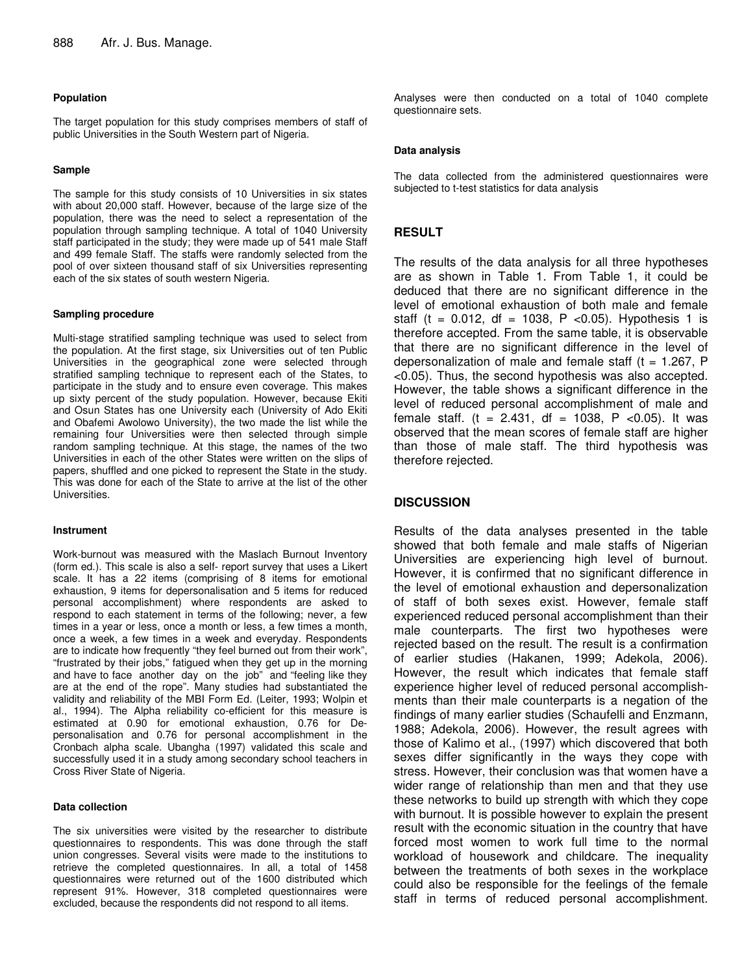### **Population**

The target population for this study comprises members of staff of public Universities in the South Western part of Nigeria.

## **Sample**

The sample for this study consists of 10 Universities in six states with about 20,000 staff. However, because of the large size of the population, there was the need to select a representation of the population through sampling technique. A total of 1040 University staff participated in the study; they were made up of 541 male Staff and 499 female Staff. The staffs were randomly selected from the pool of over sixteen thousand staff of six Universities representing each of the six states of south western Nigeria.

#### **Sampling procedure**

Multi-stage stratified sampling technique was used to select from the population. At the first stage, six Universities out of ten Public Universities in the geographical zone were selected through stratified sampling technique to represent each of the States, to participate in the study and to ensure even coverage. This makes up sixty percent of the study population. However, because Ekiti and Osun States has one University each (University of Ado Ekiti and Obafemi Awolowo University), the two made the list while the remaining four Universities were then selected through simple random sampling technique. At this stage, the names of the two Universities in each of the other States were written on the slips of papers, shuffled and one picked to represent the State in the study. This was done for each of the State to arrive at the list of the other Universities.

#### **Instrument**

Work-burnout was measured with the Maslach Burnout Inventory (form ed.). This scale is also a self- report survey that uses a Likert scale. It has a 22 items (comprising of 8 items for emotional exhaustion, 9 items for depersonalisation and 5 items for reduced personal accomplishment) where respondents are asked to respond to each statement in terms of the following; never, a few times in a year or less, once a month or less, a few times a month, once a week, a few times in a week and everyday. Respondents are to indicate how frequently "they feel burned out from their work", "frustrated by their jobs," fatigued when they get up in the morning and have to face another day on the job" and "feeling like they are at the end of the rope". Many studies had substantiated the validity and reliability of the MBI Form Ed. (Leiter, 1993; Wolpin et al., 1994). The Alpha reliability co-efficient for this measure is estimated at 0.90 for emotional exhaustion, 0.76 for Depersonalisation and 0.76 for personal accomplishment in the Cronbach alpha scale. Ubangha (1997) validated this scale and successfully used it in a study among secondary school teachers in Cross River State of Nigeria.

#### **Data collection**

The six universities were visited by the researcher to distribute questionnaires to respondents. This was done through the staff union congresses. Several visits were made to the institutions to retrieve the completed questionnaires. In all, a total of 1458 questionnaires were returned out of the 1600 distributed which represent 91%. However, 318 completed questionnaires were excluded, because the respondents did not respond to all items.

Analyses were then conducted on a total of 1040 complete questionnaire sets.

#### **Data analysis**

The data collected from the administered questionnaires were subjected to t-test statistics for data analysis

# **RESULT**

The results of the data analysis for all three hypotheses are as shown in Table 1. From Table 1, it could be deduced that there are no significant difference in the level of emotional exhaustion of both male and female staff (t =  $0.012$ , df =  $1038$ , P < 0.05). Hypothesis 1 is therefore accepted. From the same table, it is observable that there are no significant difference in the level of depersonalization of male and female staff  $(t = 1.267, P)$ <0.05). Thus, the second hypothesis was also accepted. However, the table shows a significant difference in the level of reduced personal accomplishment of male and female staff. (t = 2.431, df = 1038, P < 0.05). It was observed that the mean scores of female staff are higher than those of male staff. The third hypothesis was therefore rejected.

## **DISCUSSION**

Results of the data analyses presented in the table showed that both female and male staffs of Nigerian Universities are experiencing high level of burnout. However, it is confirmed that no significant difference in the level of emotional exhaustion and depersonalization of staff of both sexes exist. However, female staff experienced reduced personal accomplishment than their male counterparts. The first two hypotheses were rejected based on the result. The result is a confirmation of earlier studies (Hakanen, 1999; Adekola, 2006). However, the result which indicates that female staff experience higher level of reduced personal accomplishments than their male counterparts is a negation of the findings of many earlier studies (Schaufelli and Enzmann, 1988; Adekola, 2006). However, the result agrees with those of Kalimo et al., (1997) which discovered that both sexes differ significantly in the ways they cope with stress. However, their conclusion was that women have a wider range of relationship than men and that they use these networks to build up strength with which they cope with burnout. It is possible however to explain the present result with the economic situation in the country that have forced most women to work full time to the normal workload of housework and childcare. The inequality between the treatments of both sexes in the workplace could also be responsible for the feelings of the female staff in terms of reduced personal accomplishment.